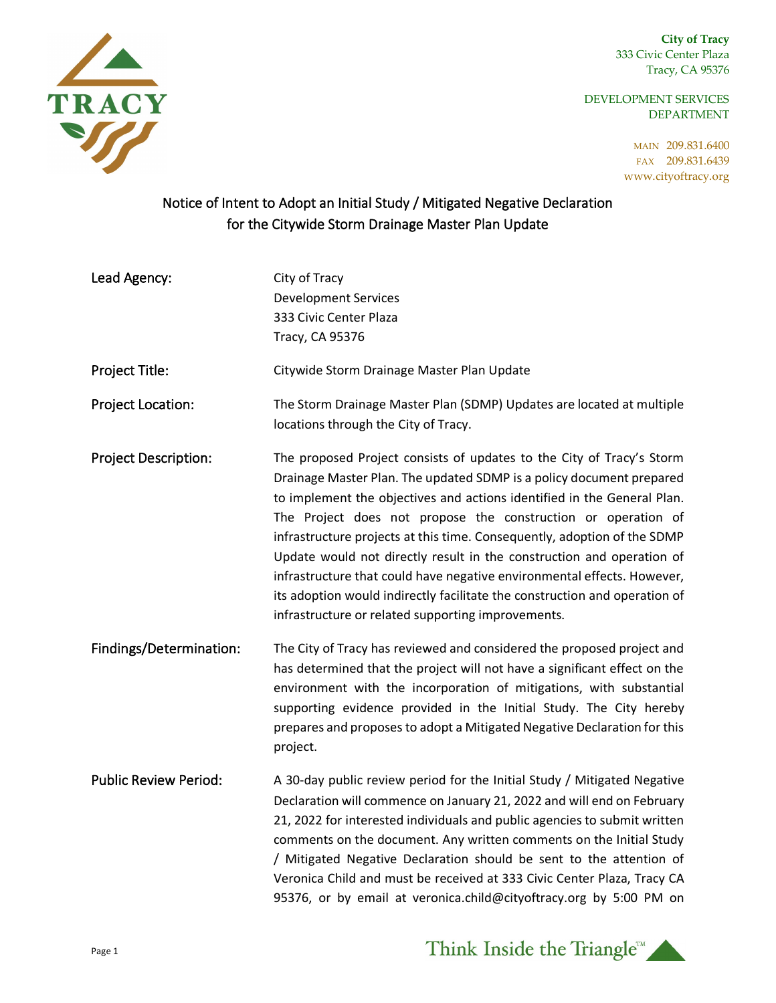**City of Tracy** 333 Civic Center Plaza Tracy, CA 95376

DEVELOPMENT SERVICES DEPARTMENT

> MAIN 209.831.6400 FAX 209.831.6439 www.cityoftracy.org



## Notice of Intent to Adopt an Initial Study / Mitigated Negative Declaration for the Citywide Storm Drainage Master Plan Update

| Lead Agency:                 | City of Tracy<br><b>Development Services</b><br>333 Civic Center Plaza<br>Tracy, CA 95376                                                                                                                                                                                                                                                                                                                                                                                                                                                                                                                                                                     |
|------------------------------|---------------------------------------------------------------------------------------------------------------------------------------------------------------------------------------------------------------------------------------------------------------------------------------------------------------------------------------------------------------------------------------------------------------------------------------------------------------------------------------------------------------------------------------------------------------------------------------------------------------------------------------------------------------|
| Project Title:               | Citywide Storm Drainage Master Plan Update                                                                                                                                                                                                                                                                                                                                                                                                                                                                                                                                                                                                                    |
| Project Location:            | The Storm Drainage Master Plan (SDMP) Updates are located at multiple<br>locations through the City of Tracy.                                                                                                                                                                                                                                                                                                                                                                                                                                                                                                                                                 |
| <b>Project Description:</b>  | The proposed Project consists of updates to the City of Tracy's Storm<br>Drainage Master Plan. The updated SDMP is a policy document prepared<br>to implement the objectives and actions identified in the General Plan.<br>The Project does not propose the construction or operation of<br>infrastructure projects at this time. Consequently, adoption of the SDMP<br>Update would not directly result in the construction and operation of<br>infrastructure that could have negative environmental effects. However,<br>its adoption would indirectly facilitate the construction and operation of<br>infrastructure or related supporting improvements. |
| Findings/Determination:      | The City of Tracy has reviewed and considered the proposed project and<br>has determined that the project will not have a significant effect on the<br>environment with the incorporation of mitigations, with substantial<br>supporting evidence provided in the Initial Study. The City hereby<br>prepares and proposes to adopt a Mitigated Negative Declaration for this<br>project.                                                                                                                                                                                                                                                                      |
| <b>Public Review Period:</b> | A 30-day public review period for the Initial Study / Mitigated Negative<br>Declaration will commence on January 21, 2022 and will end on February<br>21, 2022 for interested individuals and public agencies to submit written<br>comments on the document. Any written comments on the Initial Study<br>/ Mitigated Negative Declaration should be sent to the attention of<br>Veronica Child and must be received at 333 Civic Center Plaza, Tracy CA<br>95376, or by email at veronica.child@cityoftracy.org by 5:00 PM on                                                                                                                                |